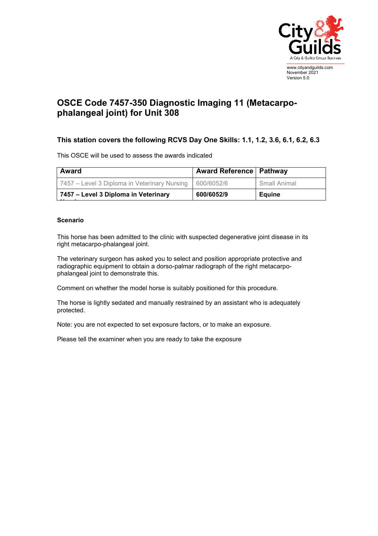

## November 2021 Version 5.0

## **OSCE Code 7457-350 Diagnostic Imaging 11 (Metacarpophalangeal joint) for Unit 308**

## **This station covers the following RCVS Day One Skills: 1.1, 1.2, 3.6, 6.1, 6.2, 6.3**

This OSCE will be used to assess the awards indicated

| Award                                        | <b>Award Reference   Pathway</b> |               |
|----------------------------------------------|----------------------------------|---------------|
| 7457 – Level 3 Diploma in Veterinary Nursing | 600/6052/6                       | Small Animal  |
| 7457 – Level 3 Diploma in Veterinary         | 600/6052/9                       | <b>Equine</b> |

## **Scenario**

This horse has been admitted to the clinic with suspected degenerative joint disease in its right metacarpo-phalangeal joint.

The veterinary surgeon has asked you to select and position appropriate protective and radiographic equipment to obtain a dorso-palmar radiograph of the right metacarpophalangeal joint to demonstrate this.

Comment on whether the model horse is suitably positioned for this procedure.

The horse is lightly sedated and manually restrained by an assistant who is adequately protected.

Note: you are not expected to set exposure factors, or to make an exposure.

Please tell the examiner when you are ready to take the exposure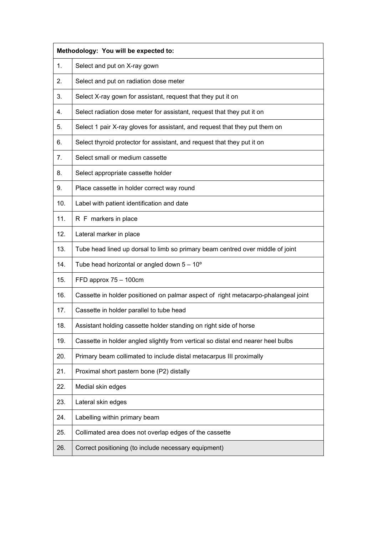|     | Methodology: You will be expected to:                                              |  |
|-----|------------------------------------------------------------------------------------|--|
| 1.  | Select and put on X-ray gown                                                       |  |
| 2.  | Select and put on radiation dose meter                                             |  |
| 3.  | Select X-ray gown for assistant, request that they put it on                       |  |
| 4.  | Select radiation dose meter for assistant, request that they put it on             |  |
| 5.  | Select 1 pair X-ray gloves for assistant, and request that they put them on        |  |
| 6.  | Select thyroid protector for assistant, and request that they put it on            |  |
| 7.  | Select small or medium cassette                                                    |  |
| 8.  | Select appropriate cassette holder                                                 |  |
| 9.  | Place cassette in holder correct way round                                         |  |
| 10. | Label with patient identification and date                                         |  |
| 11. | R F markers in place                                                               |  |
| 12. | Lateral marker in place                                                            |  |
| 13. | Tube head lined up dorsal to limb so primary beam centred over middle of joint     |  |
| 14. | Tube head horizontal or angled down $5 - 10^{\circ}$                               |  |
| 15. | FFD approx 75 - 100cm                                                              |  |
| 16. | Cassette in holder positioned on palmar aspect of right metacarpo-phalangeal joint |  |
| 17. | Cassette in holder parallel to tube head                                           |  |
| 18. | Assistant holding cassette holder standing on right side of horse                  |  |
| 19. | Cassette in holder angled slightly from vertical so distal end nearer heel bulbs   |  |
| 20. | Primary beam collimated to include distal metacarpus III proximally                |  |
| 21. | Proximal short pastern bone (P2) distally                                          |  |
| 22. | Medial skin edges                                                                  |  |
| 23. | Lateral skin edges                                                                 |  |
| 24. | Labelling within primary beam                                                      |  |
| 25. | Collimated area does not overlap edges of the cassette                             |  |
| 26. | Correct positioning (to include necessary equipment)                               |  |